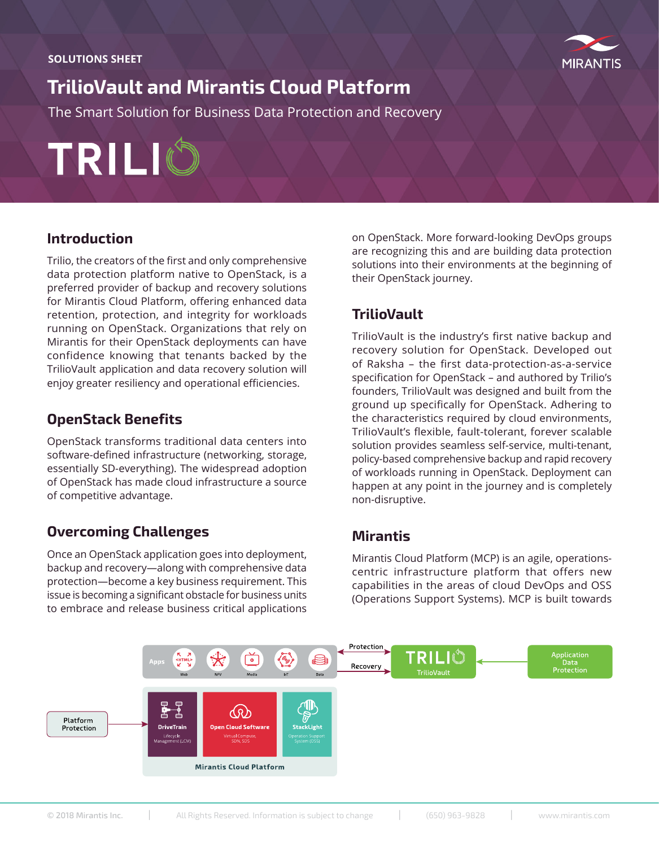

# **TrilioVault and Mirantis Cloud Platform**

The Smart Solution for Business Data Protection and Recovery

TRILIC

## **Introduction**

Trilio, the creators of the first and only comprehensive data protection platform native to OpenStack, is a preferred provider of backup and recovery solutions for Mirantis Cloud Platform, offering enhanced data retention, protection, and integrity for workloads running on OpenStack. Organizations that rely on Mirantis for their OpenStack deployments can have confidence knowing that tenants backed by the TrilioVault application and data recovery solution will enjoy greater resiliency and operational efficiencies.

## **OpenStack Benefits**

OpenStack transforms traditional data centers into software-defined infrastructure (networking, storage, essentially SD-everything). The widespread adoption of OpenStack has made cloud infrastructure a source of competitive advantage.

## **Overcoming Challenges**

Once an OpenStack application goes into deployment, backup and recovery—along with comprehensive data protection—become a key business requirement. This issue is becoming a significant obstacle for business units to embrace and release business critical applications

on OpenStack. More forward-looking DevOps groups are recognizing this and are building data protection solutions into their environments at the beginning of their OpenStack journey.

## **TrilioVault**

TrilioVault is the industry's first native backup and recovery solution for OpenStack. Developed out of Raksha – the first data-protection-as-a-service specification for OpenStack – and authored by Trilio's founders, TrilioVault was designed and built from the ground up specifically for OpenStack. Adhering to the characteristics required by cloud environments, TrilioVault's flexible, fault-tolerant, forever scalable solution provides seamless self-service, multi-tenant, policy-based comprehensive backup and rapid recovery of workloads running in OpenStack. Deployment can happen at any point in the journey and is completely non-disruptive.

## **Mirantis**

Mirantis Cloud Platform (MCP) is an agile, operationscentric infrastructure platform that offers new capabilities in the areas of cloud DevOps and OSS (Operations Support Systems). MCP is built towards